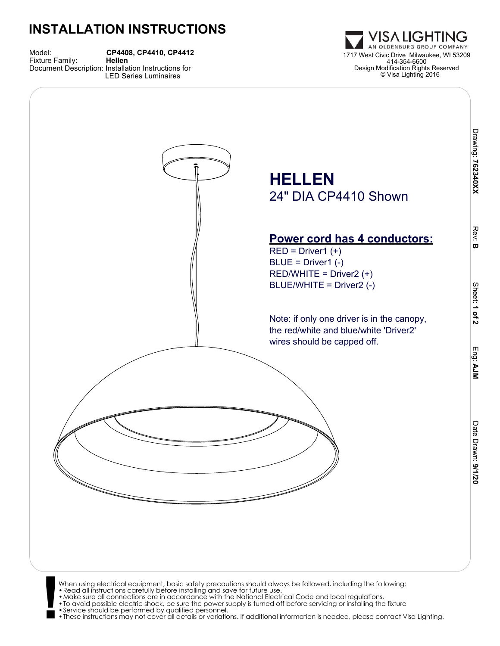## **INSTALLATION INSTRUCTIONS**

Model: **CP4408, CP4410, CP4412** Document Description: Installation Instructions for

LED Series Luminaires



- When using electrical equipment, basic safety precautions should always be followed, including the following:<br>• Read all instructions carefully before installing and save for future use.<br>• Make sure all connections are in
- 
- 
- •To avoid possible electric shock, be sure the power supply is turned off before servicing or installing the fixture •Service should be performed by qualified personnel.
- •These instructions may not cover all details or variations. If additional information is needed, please contact Visa Lighting.